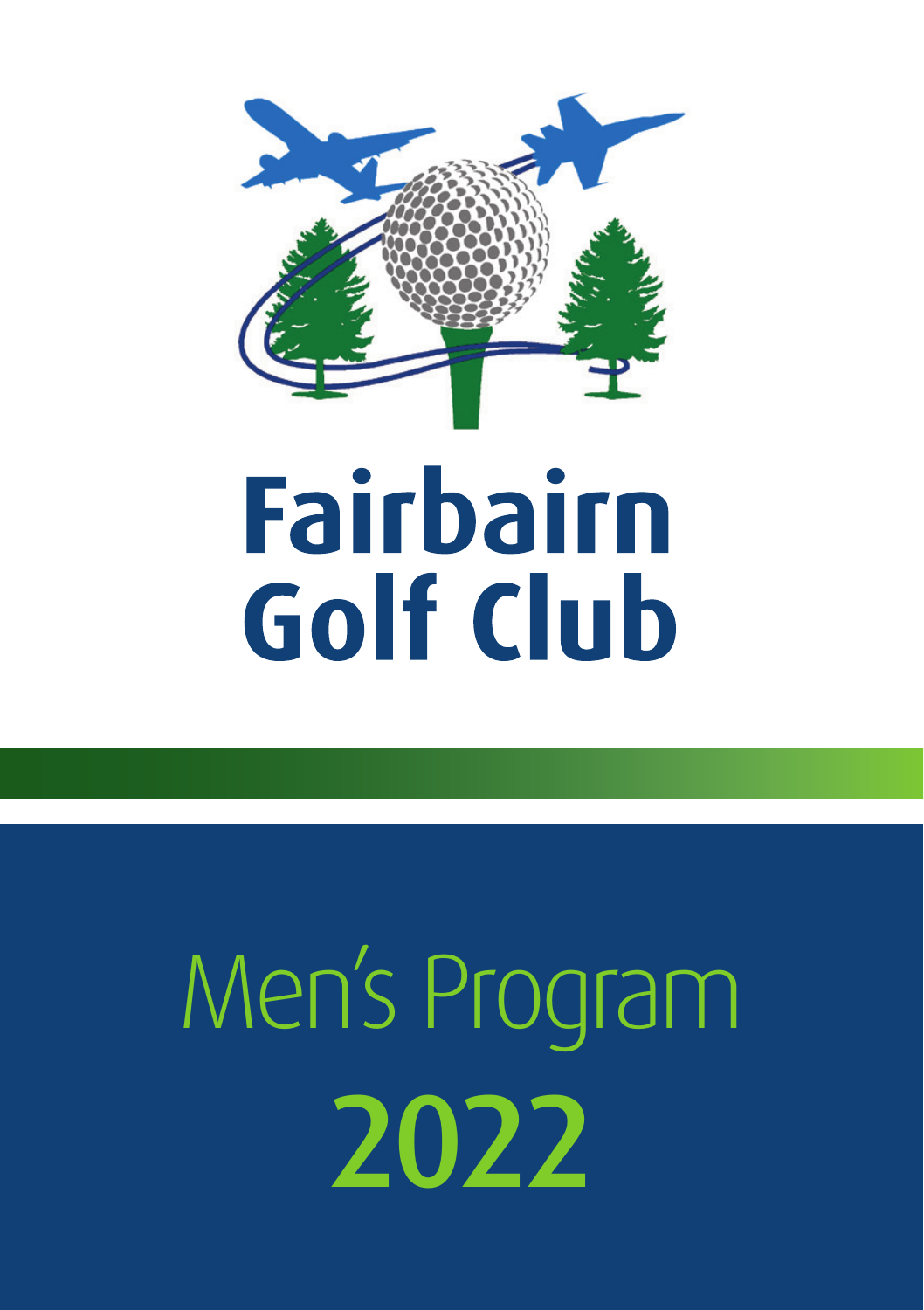

## **Fairbairn Golf Club**

## Men's Program 2022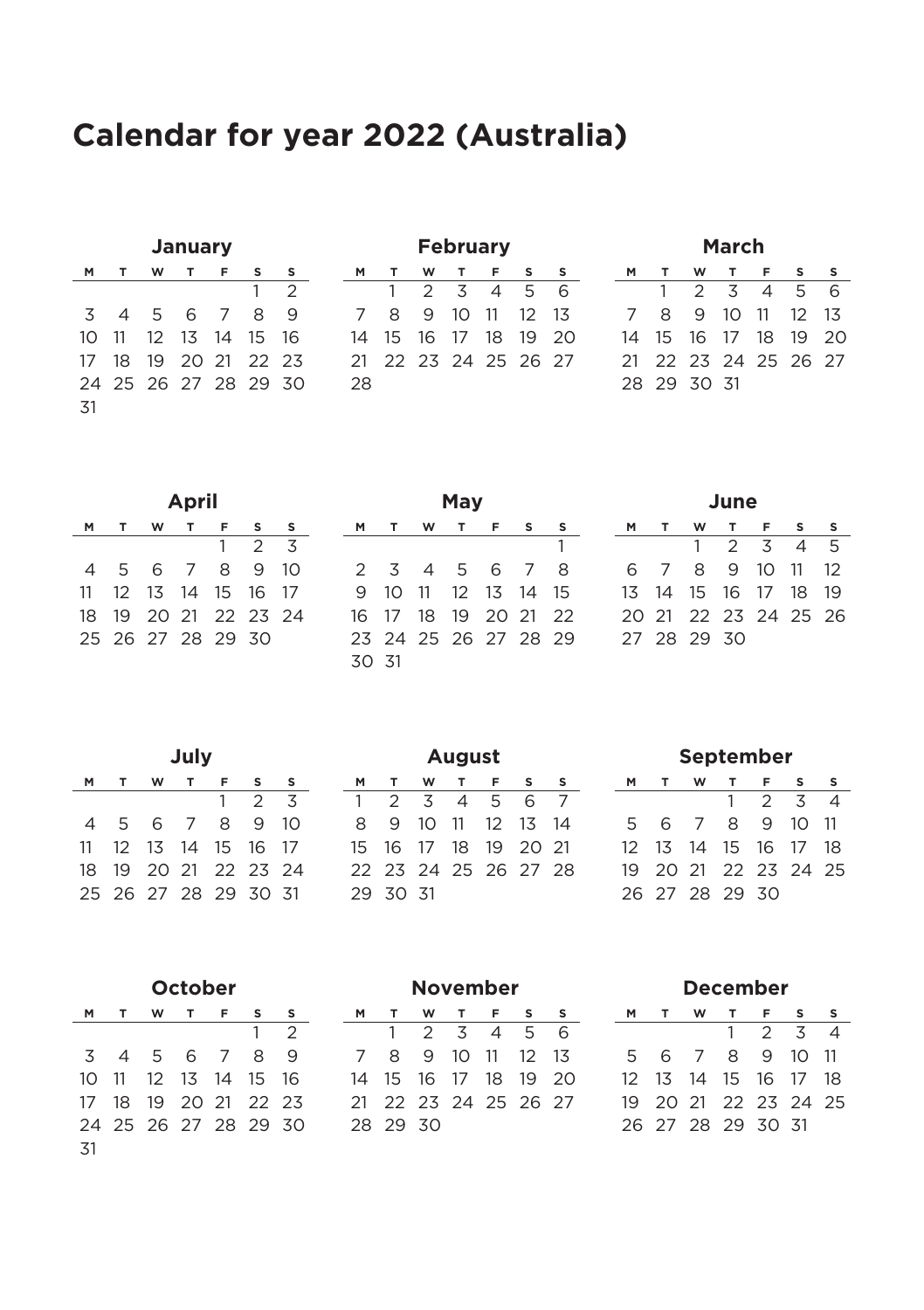#### **Calendar for year 2022 (Australia)**

| January |  |                      |  |  |   |              |  |  |  |
|---------|--|----------------------|--|--|---|--------------|--|--|--|
|         |  | M T W T F S          |  |  |   |              |  |  |  |
|         |  |                      |  |  | 1 | $\bar{2}$    |  |  |  |
|         |  | 3 4 5 6 7 8          |  |  |   | $\mathbf{q}$ |  |  |  |
|         |  | 10 11 12 13 14 15 16 |  |  |   |              |  |  |  |
| 17      |  | 18 19 20 21 22 23    |  |  |   |              |  |  |  |
|         |  | 24 25 26 27 28 29 30 |  |  |   |              |  |  |  |
| 31      |  |                      |  |  |   |              |  |  |  |

| February |    |  |                       |          |                   |   |  |  |  |
|----------|----|--|-----------------------|----------|-------------------|---|--|--|--|
| M        |    |  | W T                   | <b>F</b> | s                 |   |  |  |  |
|          |    |  | $2 \times 4 \times 5$ |          |                   | 6 |  |  |  |
| 7        | 8  |  |                       |          | 9 10 11 12 13     |   |  |  |  |
| 14       | 15 |  |                       |          | 16 17 18 19 20    |   |  |  |  |
| 21       |    |  |                       |          | 22 23 24 25 26 27 |   |  |  |  |
| 28       |    |  |                       |          |                   |   |  |  |  |

| March          |                      |                 |  |                       |  |        |  |  |  |
|----------------|----------------------|-----------------|--|-----------------------|--|--------|--|--|--|
| м              |                      | TW TFS          |  |                       |  | $\sim$ |  |  |  |
|                |                      |                 |  | $2 \times 4 \times 5$ |  | - 6    |  |  |  |
| $\overline{7}$ |                      | 8 9 10 11 12 13 |  |                       |  |        |  |  |  |
|                | 14 15 16 17 18 19 20 |                 |  |                       |  |        |  |  |  |
|                | 21 22 23 24 25 26 27 |                 |  |                       |  |        |  |  |  |
|                | 28 29 30 31          |                 |  |                       |  |        |  |  |  |
|                |                      |                 |  |                       |  |        |  |  |  |

| April |   |                                  |  |   |    |    |  |  |  |
|-------|---|----------------------------------|--|---|----|----|--|--|--|
|       |   |                                  |  |   |    |    |  |  |  |
|       |   |                                  |  |   | っ  | z  |  |  |  |
| Δ     | 5 | 6 7                              |  | 8 | 9  | 10 |  |  |  |
| 11    |   | 12    13    14    15    16    17 |  |   |    |    |  |  |  |
|       |   | 18 19 20 21 22 23 24             |  |   |    |    |  |  |  |
|       |   | 25 26 27 28 29                   |  |   | 30 |    |  |  |  |

|          | ridv |  |  |                      |  |   |  |  |  |  |
|----------|------|--|--|----------------------|--|---|--|--|--|--|
| <b>M</b> |      |  |  | TWTFS                |  | s |  |  |  |  |
|          |      |  |  |                      |  |   |  |  |  |  |
|          |      |  |  | 2 3 4 5 6 7 8        |  |   |  |  |  |  |
| 9        |      |  |  | 10 11 12 13 14 15    |  |   |  |  |  |  |
|          |      |  |  | 16 17 18 19 20 21 22 |  |   |  |  |  |  |
|          |      |  |  | 23 24 25 26 27 28 29 |  |   |  |  |  |  |
| 30 31    |      |  |  |                      |  |   |  |  |  |  |

**May**

| June |  |             |                      |         |                |   |  |  |  |
|------|--|-------------|----------------------|---------|----------------|---|--|--|--|
| M    |  | w           |                      | $T = F$ | $\sim$         | s |  |  |  |
|      |  |             | $1 \t2 \t3$          |         | 4 <sub>5</sub> |   |  |  |  |
|      |  |             | 6 7 8 9 10 11 12     |         |                |   |  |  |  |
|      |  |             | 13 14 15 16 17 18 19 |         |                |   |  |  |  |
|      |  |             | 20 21 22 23 24 25 26 |         |                |   |  |  |  |
|      |  | 27 28 29 30 |                      |         |                |   |  |  |  |

| July           |   |                                  |                |   |   |                 |  |  |  |
|----------------|---|----------------------------------|----------------|---|---|-----------------|--|--|--|
| м              |   | w                                |                | F | s | s               |  |  |  |
|                |   |                                  |                | 1 | 2 | 3               |  |  |  |
| $\overline{a}$ | 5 | 6                                | $\overline{7}$ | 8 | 9 | 10 <sup>2</sup> |  |  |  |
| 11             |   | 12    13    14    15    16    17 |                |   |   |                 |  |  |  |
| 18             |   | 19 20 21 22 23 24                |                |   |   |                 |  |  |  |
|                |   | 25 26 27 28 29 30 31             |                |   |   |                 |  |  |  |

| August |                      |  |     |                  |  |                |  |  |  |
|--------|----------------------|--|-----|------------------|--|----------------|--|--|--|
| M      |                      |  | W T | F <sub>S</sub>   |  | s              |  |  |  |
| 1      | $\overline{2}$       |  |     | 3 4 5 6          |  | $\overline{7}$ |  |  |  |
| 8.     |                      |  |     | 9 10 11 12 13 14 |  |                |  |  |  |
|        | 15 16 17 18 19 20 21 |  |     |                  |  |                |  |  |  |
|        | 22 23 24 25 26 27 28 |  |     |                  |  |                |  |  |  |
| 29     | 30 31                |  |     |                  |  |                |  |  |  |

| September |             |                |          |                   |    |    |  |  |  |  |
|-----------|-------------|----------------|----------|-------------------|----|----|--|--|--|--|
| м         |             |                |          |                   |    | s  |  |  |  |  |
|           |             |                | 1        | $\mathfrak{D}$    | z  | Δ  |  |  |  |  |
| 5         | 6.          | $\overline{7}$ | 8        | $\alpha$          | 10 | 11 |  |  |  |  |
| $12 -$    |             |                | 13 14 15 | 16 17             |    | 18 |  |  |  |  |
| 19        |             |                |          | 20 21 22 23 24 25 |    |    |  |  |  |  |
|           | 26 27 28 29 |                |          | 30                |    |    |  |  |  |  |

| October |  |                      |  |  |   |                |  |  |  |
|---------|--|----------------------|--|--|---|----------------|--|--|--|
|         |  | M T W T F S          |  |  |   | s              |  |  |  |
|         |  |                      |  |  | 1 | $\overline{2}$ |  |  |  |
|         |  | 3 4 5 6 7 8 9        |  |  |   |                |  |  |  |
|         |  | 10 11 12 13 14 15 16 |  |  |   |                |  |  |  |
|         |  | 17 18 19 20 21 22 23 |  |  |   |                |  |  |  |
|         |  | 24 25 26 27 28 29 30 |  |  |   |                |  |  |  |
| -31     |  |                      |  |  |   |                |  |  |  |

| November |                      |                     |  |  |  |              |  |  |  |  |
|----------|----------------------|---------------------|--|--|--|--------------|--|--|--|--|
| м        |                      | TW TFS              |  |  |  | $\mathbf{S}$ |  |  |  |  |
|          |                      | $1 \t2 \t3 \t4 \t5$ |  |  |  | - 6          |  |  |  |  |
|          | 7 8 9 10 11 12 13    |                     |  |  |  |              |  |  |  |  |
|          | 14 15 16 17 18 19 20 |                     |  |  |  |              |  |  |  |  |
|          | 21 22 23 24 25 26 27 |                     |  |  |  |              |  |  |  |  |
|          | 28 29 30             |                     |  |  |  |              |  |  |  |  |

| December |                      |   |    |               |                |   |  |  |  |  |
|----------|----------------------|---|----|---------------|----------------|---|--|--|--|--|
| M        |                      | w |    | T F S         |                | s |  |  |  |  |
|          |                      |   | 1. | $\mathcal{P}$ | $\overline{3}$ | Δ |  |  |  |  |
| 5        |                      |   |    | 6 7 8 9 10 11 |                |   |  |  |  |  |
|          | 12 13 14 15 16 17 18 |   |    |               |                |   |  |  |  |  |
|          | 19 20 21 22 23 24 25 |   |    |               |                |   |  |  |  |  |
|          | 26 27 28 29 30 31    |   |    |               |                |   |  |  |  |  |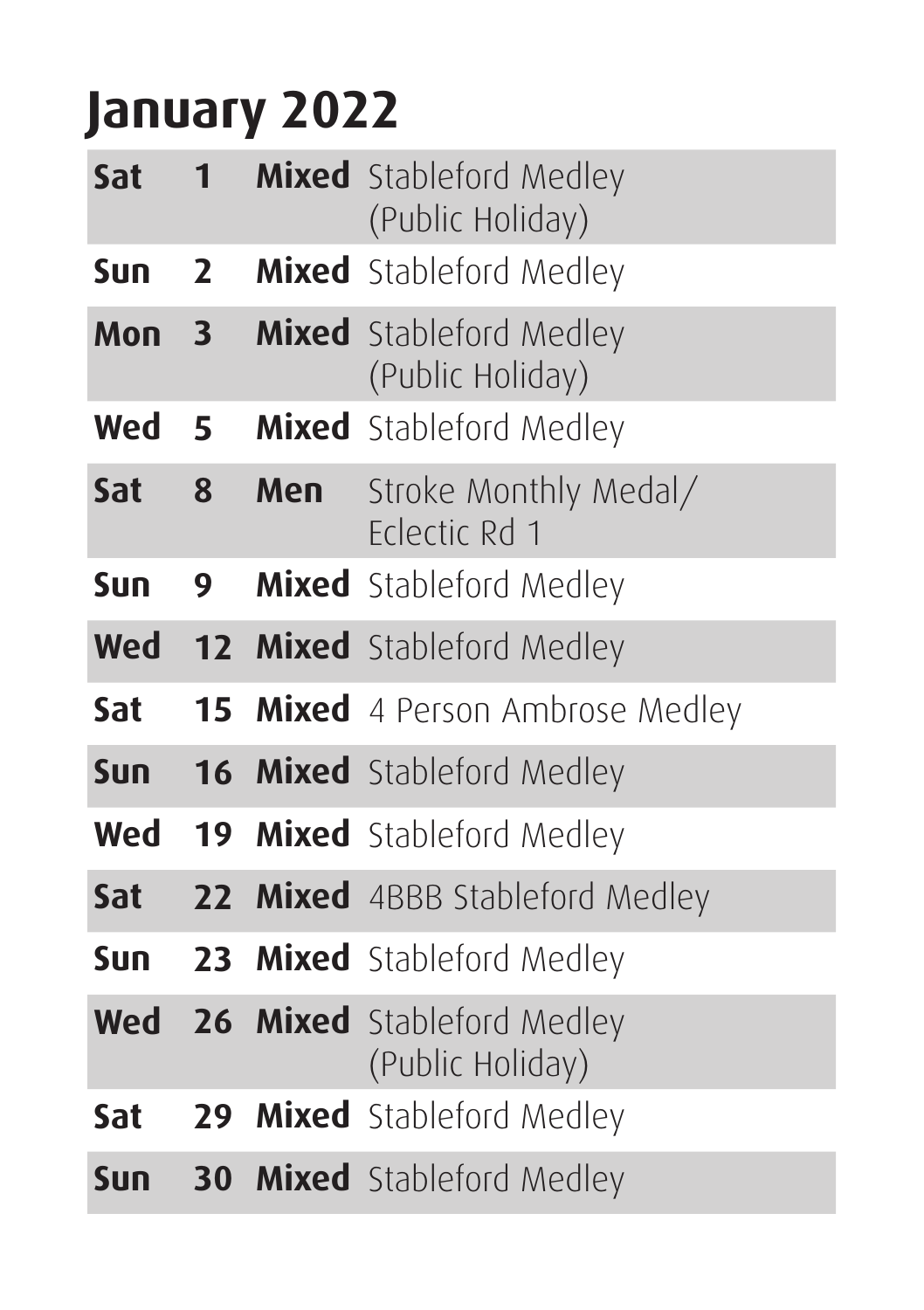#### **January 2022**

| Sat        | 1              |     | <b>Mixed</b> Stableford Medley<br>(Public Holiday) |
|------------|----------------|-----|----------------------------------------------------|
| Sun        | $\overline{2}$ |     | Mixed Stableford Medley                            |
| Mon        | 3              |     | <b>Mixed</b> Stableford Medley<br>(Public Holiday) |
| Wed        | 5              |     | Mixed Stableford Medley                            |
| Sat        | 8              | Men | Stroke Monthly Medal/<br>Felectic Rd 1             |
| Sun        | 9              |     | <b>Mixed</b> Stableford Medley                     |
| Wed        |                |     | 12 Mixed Stableford Medley                         |
| Sat        |                |     | <b>15 Mixed</b> 4 Person Ambrose Medley            |
| <b>Sun</b> |                |     | <b>16 Mixed</b> Stableford Medley                  |
| Wed        |                |     | <b>19 Mixed</b> Stableford Medley                  |
| Sat        |                |     | 22 Mixed 4BBB Stableford Medley                    |
| <b>Sun</b> |                |     | 23 Mixed Stableford Medley                         |
| Wed        |                |     | 26 Mixed Stableford Medley<br>(Public Holiday)     |
| Sat        |                |     | 29 Mixed Stableford Medley                         |
| Sun        |                |     | <b>30 Mixed</b> Stableford Medley                  |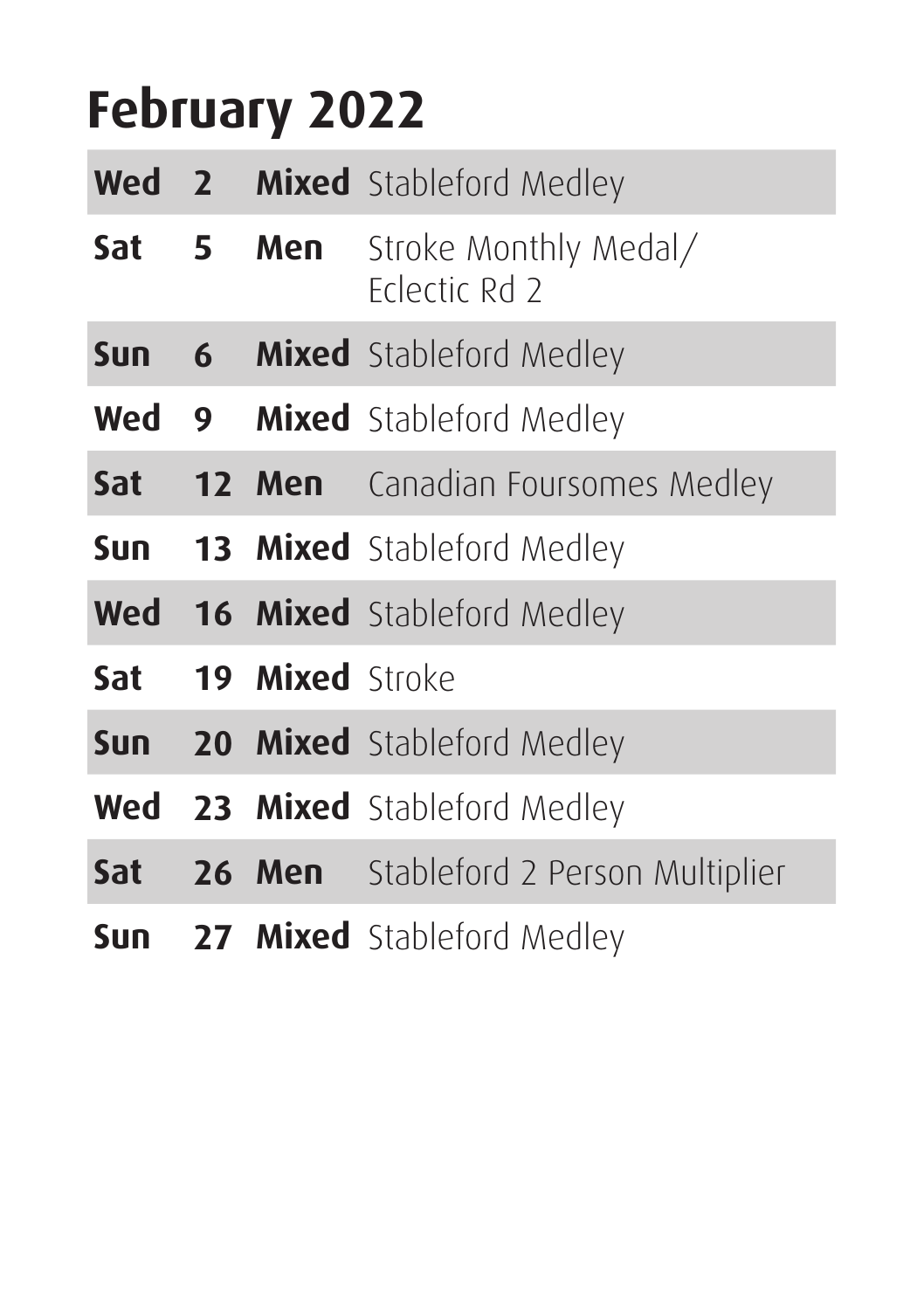#### **February 2022**

|                  |                 | <b>Wed 2 Mixed</b> Stableford Medley         |
|------------------|-----------------|----------------------------------------------|
| Sat <sub>5</sub> | Men             | Stroke Monthly Medal/<br>Frlectic Rd 2       |
| <b>Sun</b>       |                 | <b>6 Mixed</b> Stableford Medley             |
|                  |                 | <b>Wed 9 Mixed</b> Stableford Medley         |
| Sat              |                 | <b>12 Men</b> Canadian Foursomes Medley      |
| Sun              |                 | <b>13 Mixed</b> Stableford Medley            |
|                  |                 | <b>Wed 16 Mixed</b> Stableford Medley        |
| Sat              | 19 Mixed Stroke |                                              |
| <b>Sun</b>       |                 | 20 Mixed Stableford Medley                   |
|                  |                 | <b>Wed 23 Mixed</b> Stableford Medley        |
| Sat              |                 | <b>26 Men</b> Stableford 2 Person Multiplier |
| Sun              |                 | 27 Mixed Stableford Medley                   |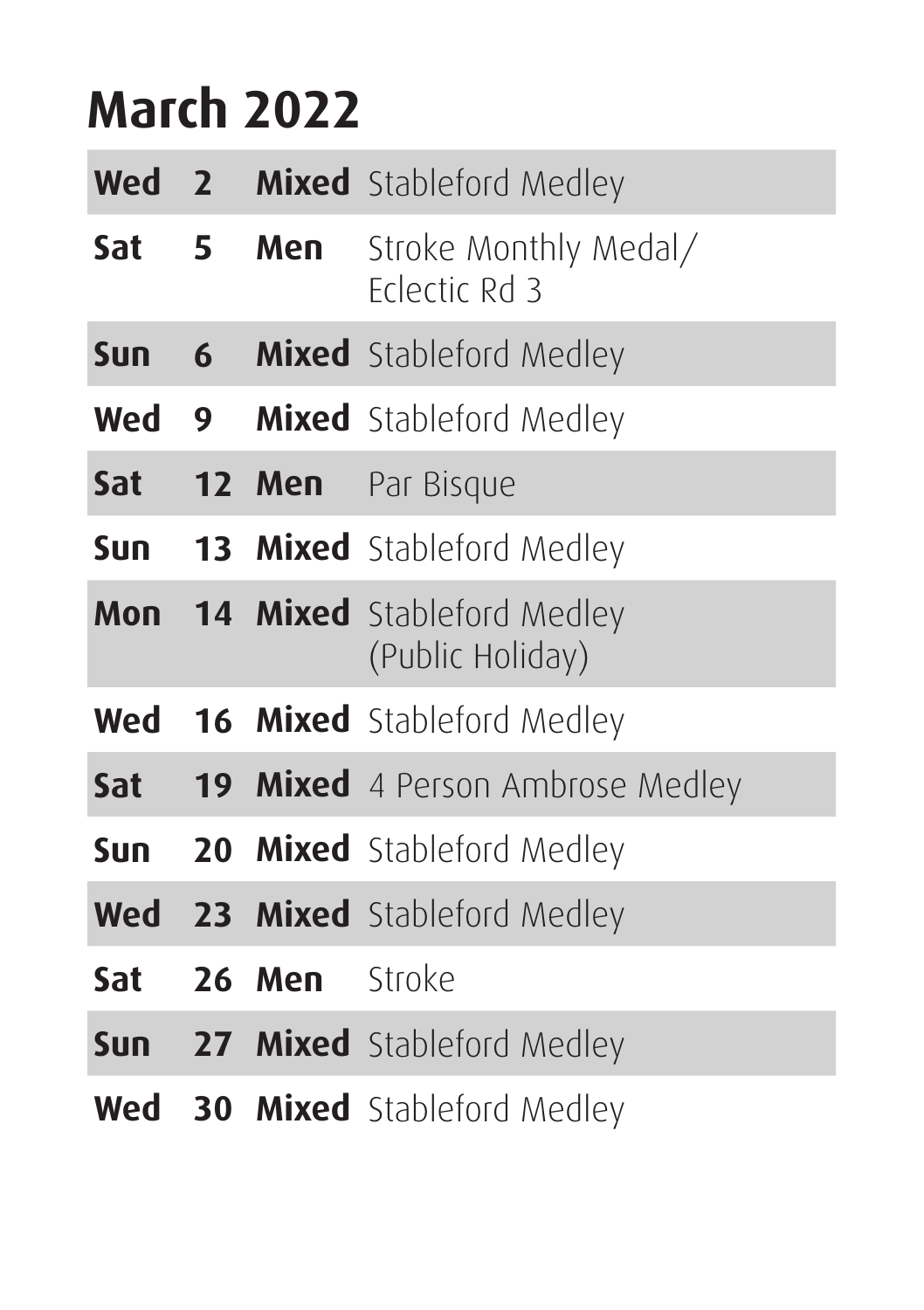#### **March 2022**

| Wed 2      |     |        | <b>Mixed</b> Stableford Medley                            |
|------------|-----|--------|-----------------------------------------------------------|
| Sat        | - 5 | Men    | Stroke Monthly Medal/<br>Eclectic Rd 3                    |
| Sun        | 6   |        | <b>Mixed</b> Stableford Medley                            |
| Wed        | 9   |        | <b>Mixed</b> Stableford Medley                            |
| <b>Sat</b> |     | 12 Men | Par Bisque                                                |
| Sun        |     |        | <b>13 Mixed</b> Stableford Medley                         |
|            |     |        | <b>Mon 14 Mixed</b> Stableford Medley<br>(Public Holiday) |
| Wed        |     |        | <b>16 Mixed</b> Stableford Medley                         |
| Sat        |     |        | 19 Mixed 4 Person Ambrose Medley                          |
| Sun        |     |        | <b>20 Mixed</b> Stableford Medley                         |
|            |     |        | <b>Wed 23 Mixed</b> Stableford Medley                     |
| Sat        |     | 26 Men | Stroke                                                    |
|            |     |        | <b>Sun 27 Mixed</b> Stableford Medley                     |
| Wed        |     |        | <b>30 Mixed</b> Stableford Medley                         |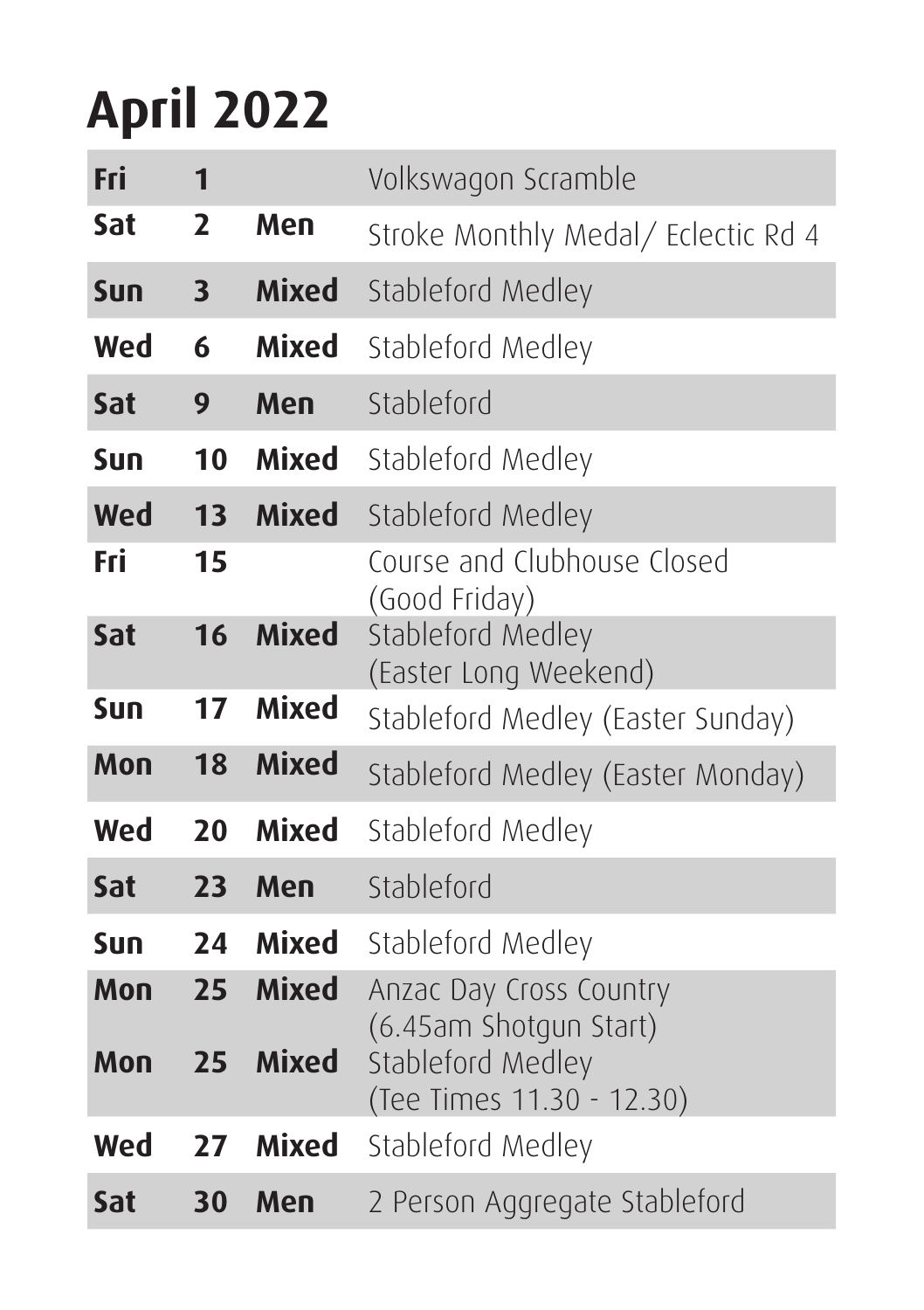#### **April 2022**

| Fri | $\mathbf{1}$            |              | Volkswagon Scramble                               |
|-----|-------------------------|--------------|---------------------------------------------------|
| Sat | $\overline{2}$          | Men          | Stroke Monthly Medal/ Eclectic Rd 4               |
| Sun | $\overline{\mathbf{3}}$ | Mixed        | Stableford Medley                                 |
| Wed | 6                       | Mixed        | Stableford Medley                                 |
| Sat | 9                       | Men          | Stableford                                        |
| Sun | 10                      | Mixed        | Stableford Medley                                 |
| Wed | 13                      | <b>Mixed</b> | Stableford Medley                                 |
| Fri | 15                      |              | Course and Clubhouse Closed<br>(Good Friday)      |
| Sat | 16                      | <b>Mixed</b> | Stableford Medley<br>(Easter Long Weekend)        |
| Sun | 17                      | Mixed        | Stableford Medley (Easter Sunday)                 |
| Mon | 18                      | <b>Mixed</b> | Stableford Medley (Easter Monday)                 |
| Wed | 20                      | Mixed        | Stableford Medley                                 |
| Sat | 23                      | Men          | Stableford                                        |
| Sun | 24                      | Mixed        | Stableford Medley                                 |
| Mon | 25                      | <b>Mixed</b> | Anzac Day Cross Country<br>(6.45am Shotgun Start) |
| Mon | 25                      | Mixed        | Stableford Medley<br>(Tee Times 11.30 - 12.30)    |
| Wed | 27                      | Mixed        | Stableford Medley                                 |
| Sat | 30                      | Men          | 2 Person Aggregate Stableford                     |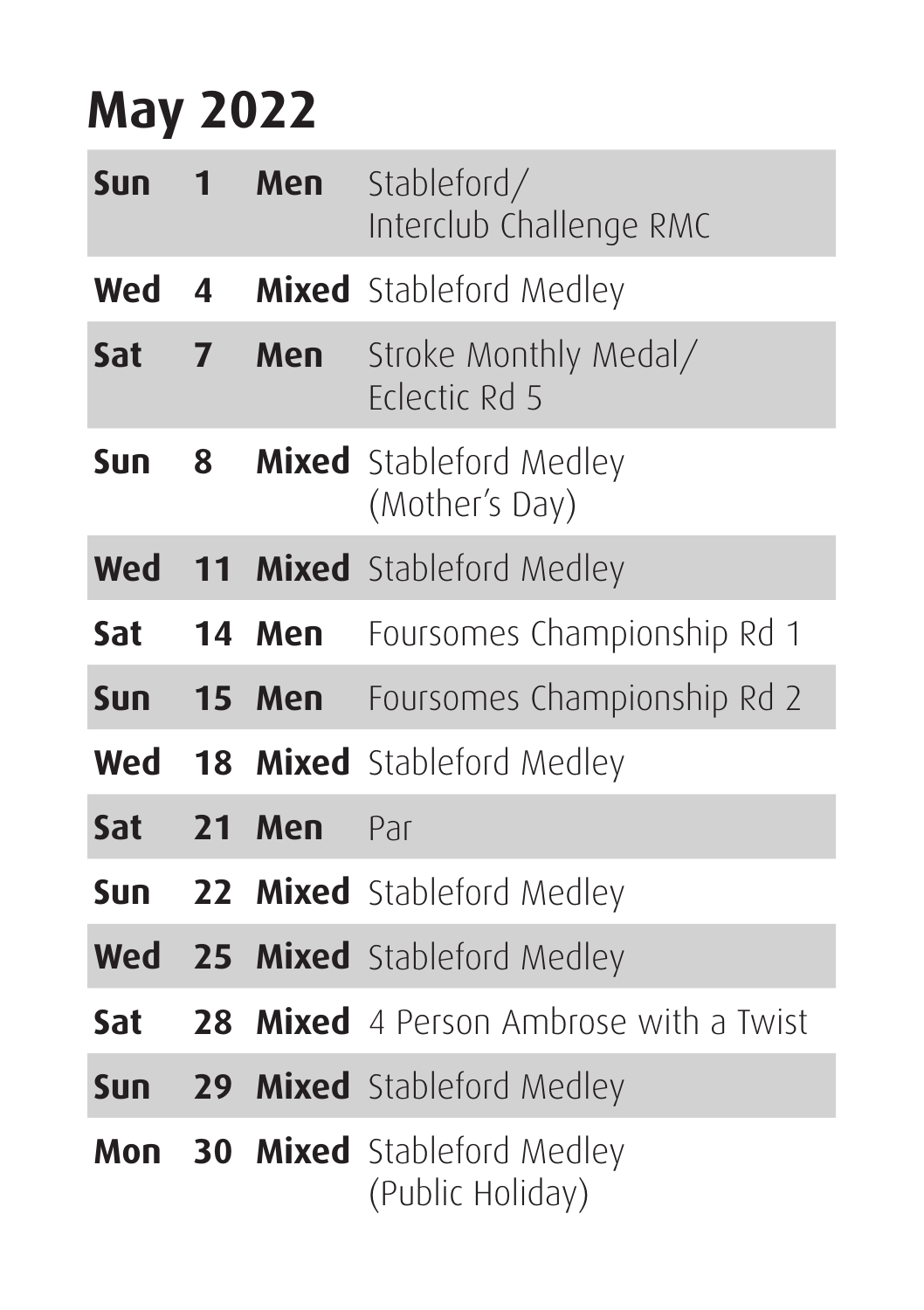#### **May 2022**

| <b>Sun</b> | 1              | Men | Stableford/<br>Interclub Challenge RMC                |
|------------|----------------|-----|-------------------------------------------------------|
| Wed        | 4              |     | Mixed Stableford Medley                               |
| Sat        | $\overline{ }$ | Men | Stroke Monthly Medal/<br>Felectic Rd 5                |
| Sun        | 8              |     | <b>Mixed</b> Stableford Medley<br>(Mother's Day)      |
| Wed        |                |     | <b>11 Mixed</b> Stableford Medley                     |
| Sat        | 14             | Men | Foursomes Championship Rd 1                           |
| Sun $15$   |                |     | <b>Men</b> Foursomes Championship Rd 2                |
| Wed        |                |     | <b>18 Mixed</b> Stableford Medley                     |
| Sat        | 21             | Men | Par                                                   |
| Sun        |                |     | 22 Mixed Stableford Medley                            |
| Wed        |                |     | 25 Mixed Stableford Medley                            |
| Sat        | 28             |     | <b>Mixed</b> 4 Person Ambrose with a Twist            |
| <b>Sun</b> |                |     | <b>29 Mixed</b> Stableford Medley                     |
| Mon        |                |     | <b>30 Mixed</b> Stableford Medley<br>(Public Holiday) |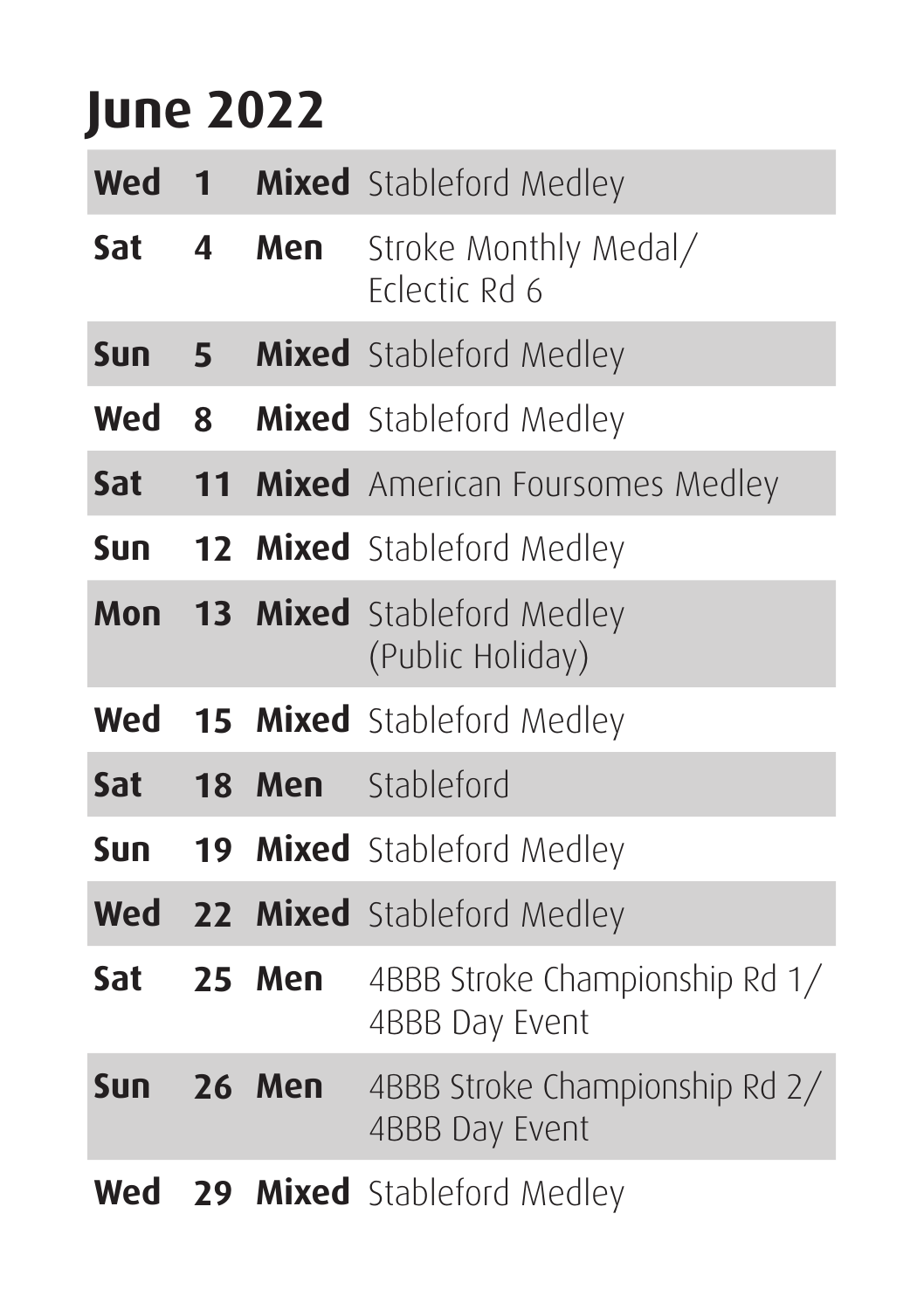#### **June 2022**

| Wed        | $\mathbf{1}$            |               | Mixed Stableford Medley                               |
|------------|-------------------------|---------------|-------------------------------------------------------|
| Sat        | $\overline{\mathbf{A}}$ | Men           | Stroke Monthly Medal/<br>Felectic Rd 6                |
| Sun        | 5                       |               | Mixed Stableford Medley                               |
| Wed        | 8                       |               | Mixed Stableford Medley                               |
| Sat        |                         |               | 11 Mixed American Foursomes Medley                    |
| Sun.       |                         |               | <b>12 Mixed</b> Stableford Medley                     |
| Mon        |                         |               | <b>13 Mixed</b> Stableford Medley<br>(Public Holiday) |
| Wed        |                         |               | <b>15 Mixed</b> Stableford Medley                     |
| Sat        | 18                      | Men           | Stableford                                            |
| Sun        |                         |               | <b>19 Mixed</b> Stableford Medley                     |
|            |                         |               | <b>Wed 22 Mixed</b> Stableford Medley                 |
| Sat        |                         | 25 Men        | 4BBB Stroke Championship Rd 1/<br>4BBB Day Event      |
| <b>Sun</b> |                         | <b>26 Men</b> | 4BBB Stroke Championship Rd 2/<br>4BBB Day Event      |
| Wed        |                         |               | 29 Mixed Stableford Medley                            |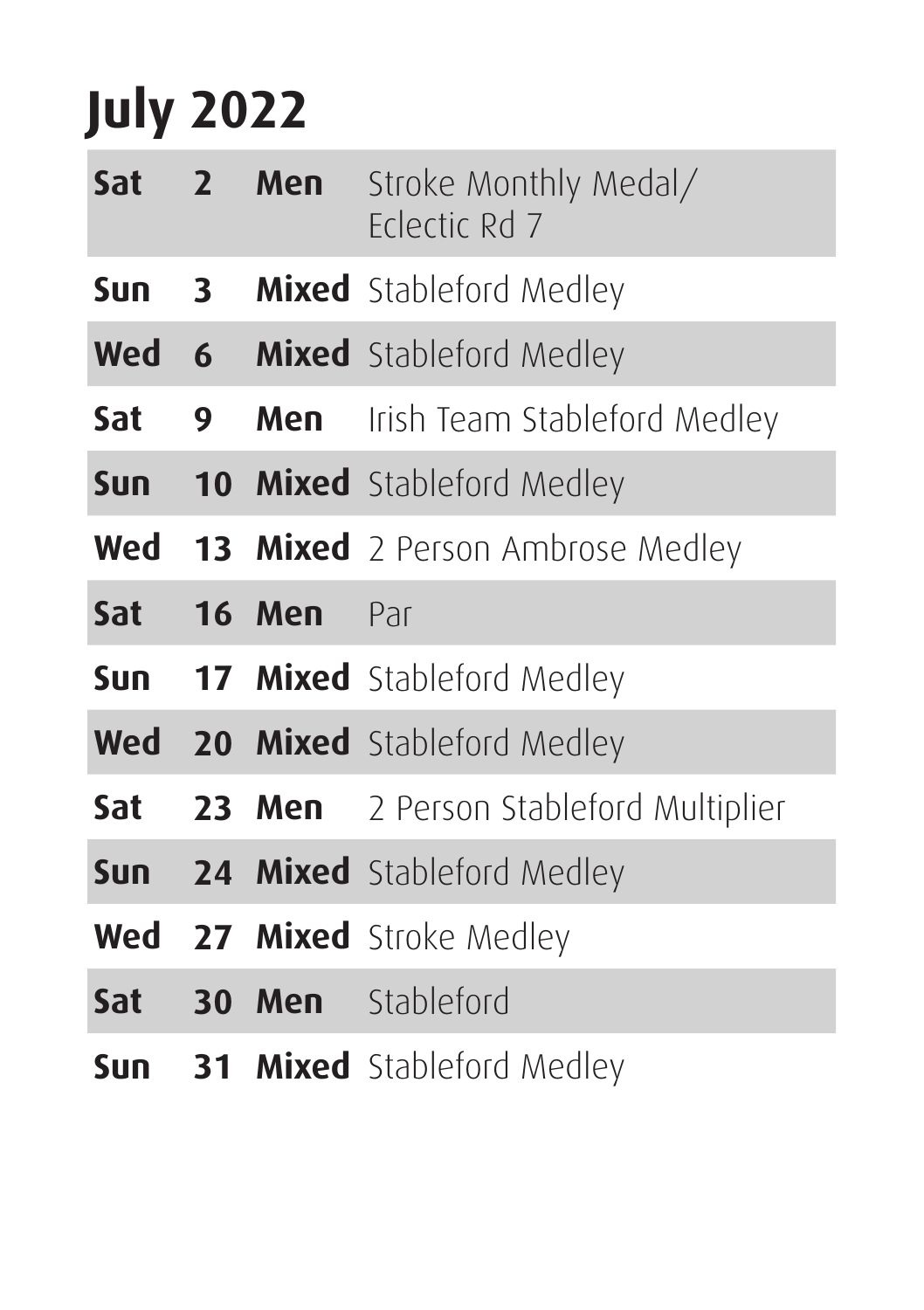### **July 2022**

|            |              | Sat 2 Men      | Stroke Monthly Medal/<br>Felectic Rd 7      |
|------------|--------------|----------------|---------------------------------------------|
| Sun        | $\mathbf{3}$ |                | Mixed Stableford Medley                     |
| Wed        |              |                | <b>6 Mixed</b> Stableford Medley            |
| Sat        | 9            |                | <b>Men</b> Irish Team Stableford Medley     |
|            |              |                | <b>Sun 10 Mixed</b> Stableford Medley       |
|            |              |                | <b>Wed 13 Mixed</b> 2 Person Ambrose Medley |
|            |              | Sat 16 Men Par |                                             |
|            |              |                | Sun 17 Mixed Stableford Medley              |
|            |              |                | <b>Wed 20 Mixed</b> Stableford Medley       |
| Sat        |              |                | 23 Men 2 Person Stableford Multiplier       |
|            |              |                | <b>Sun 24 Mixed</b> Stableford Medley       |
|            |              |                | <b>Wed 27 Mixed</b> Stroke Medley           |
| <b>Sat</b> |              |                | <b>30 Men</b> Stableford                    |
| Sun        |              |                | <b>31 Mixed</b> Stableford Medley           |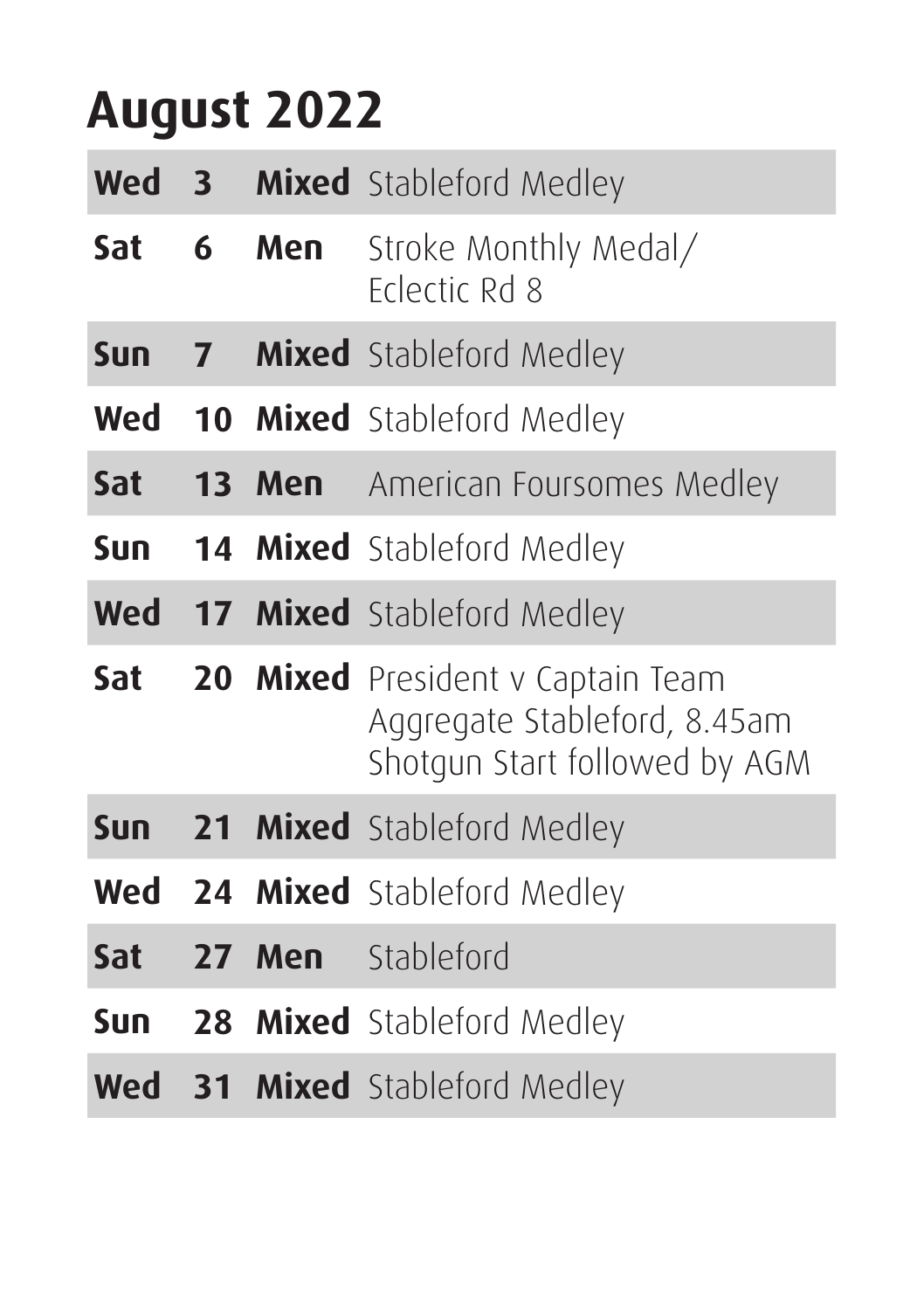#### **August 2022**

| Wed | $\overline{\mathbf{3}}$ |        | <b>Mixed</b> Stableford Medley                                                                     |
|-----|-------------------------|--------|----------------------------------------------------------------------------------------------------|
| Sat | 6                       | Men    | Stroke Monthly Medal/<br>Eclectic Rd 8                                                             |
| Sun |                         |        | <b>7 Mixed</b> Stableford Medley                                                                   |
| Wed |                         |        | <b>10 Mixed</b> Stableford Medley                                                                  |
| Sat |                         |        | <b>13 Men</b> American Foursomes Medley                                                            |
| Sun |                         |        | <b>14 Mixed</b> Stableford Medley                                                                  |
|     |                         |        | <b>Wed 17 Mixed</b> Stableford Medley                                                              |
| Sat |                         |        | 20 Mixed President v Captain Team<br>Aggregate Stableford, 8.45am<br>Shotgun Start followed by AGM |
| Sun |                         |        | <b>21 Mixed</b> Stableford Medley                                                                  |
|     |                         |        | <b>Wed 24 Mixed</b> Stableford Medley                                                              |
| Sat |                         | 27 Men | Stableford                                                                                         |
| Sun |                         |        | <b>28 Mixed</b> Stableford Medley                                                                  |
| Wed |                         |        | <b>31 Mixed</b> Stableford Medley                                                                  |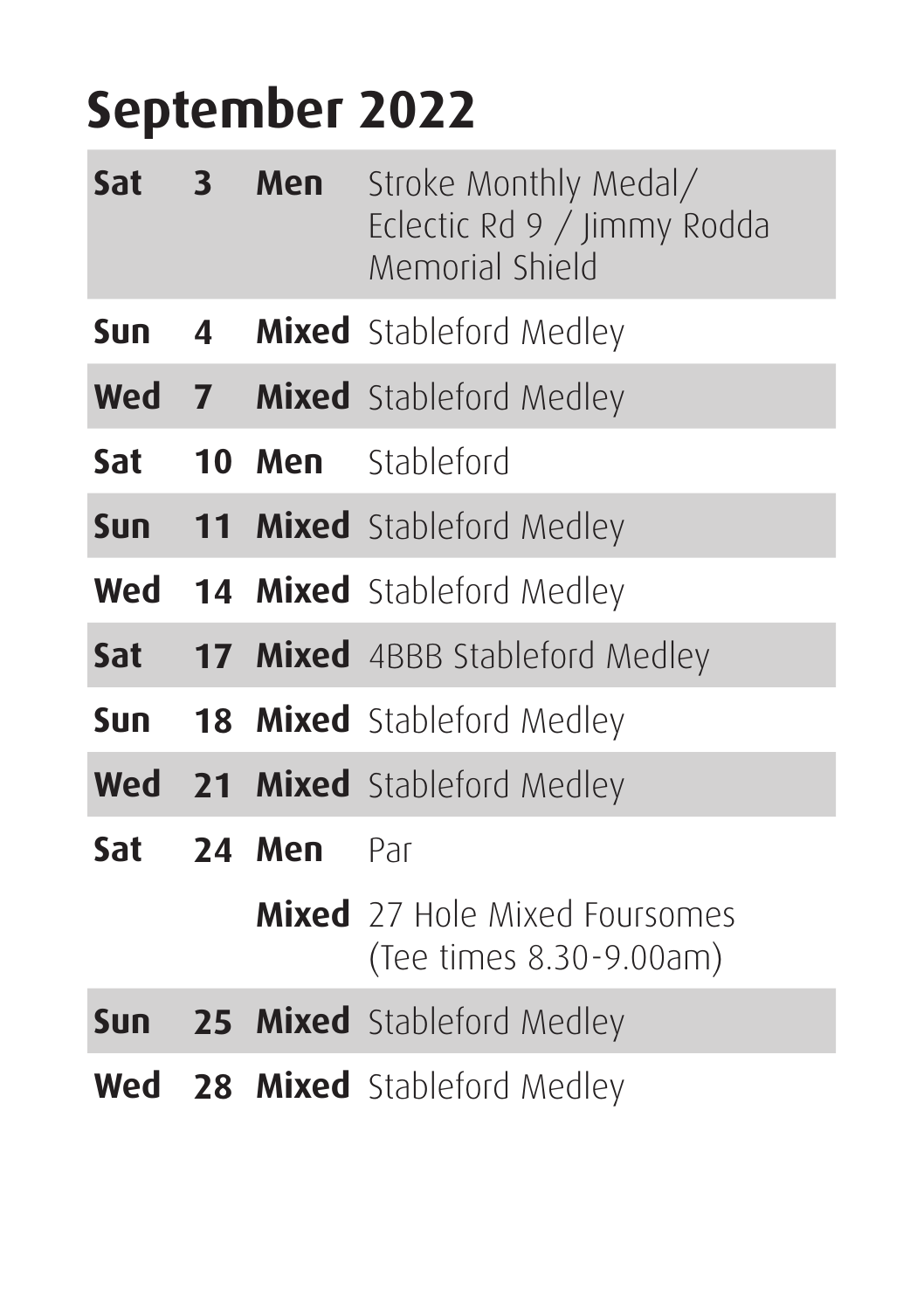#### **September 2022**

| Sat 3 | Men    | Stroke Monthly Medal/<br>Eclectic Rd 9 / Jimmy Rodda<br>Memorial Shield |
|-------|--------|-------------------------------------------------------------------------|
| Sun.  |        | 4 Mixed Stableford Medley                                               |
|       |        | <b>Wed 7 Mixed</b> Stableford Medley                                    |
|       |        | <b>Sat 10 Men</b> Stableford                                            |
|       |        | <b>Sun 11 Mixed</b> Stableford Medley                                   |
|       |        | <b>Wed 14 Mixed</b> Stableford Medley                                   |
| Sat   |        | <b>17 Mixed</b> 4BBB Stableford Medley                                  |
| Sun   |        | <b>18 Mixed</b> Stableford Medley                                       |
|       |        | <b>Wed</b> 21 Mixed Stableford Medley                                   |
| Sat   | 24 Men | Par                                                                     |
|       |        | <b>Mixed</b> 27 Hole Mixed Foursomes<br>(Tee times 8.30-9.00am)         |
|       |        | <b>Sun 25 Mixed</b> Stableford Medley                                   |
|       |        | <b>Wed 28 Mixed</b> Stableford Medley                                   |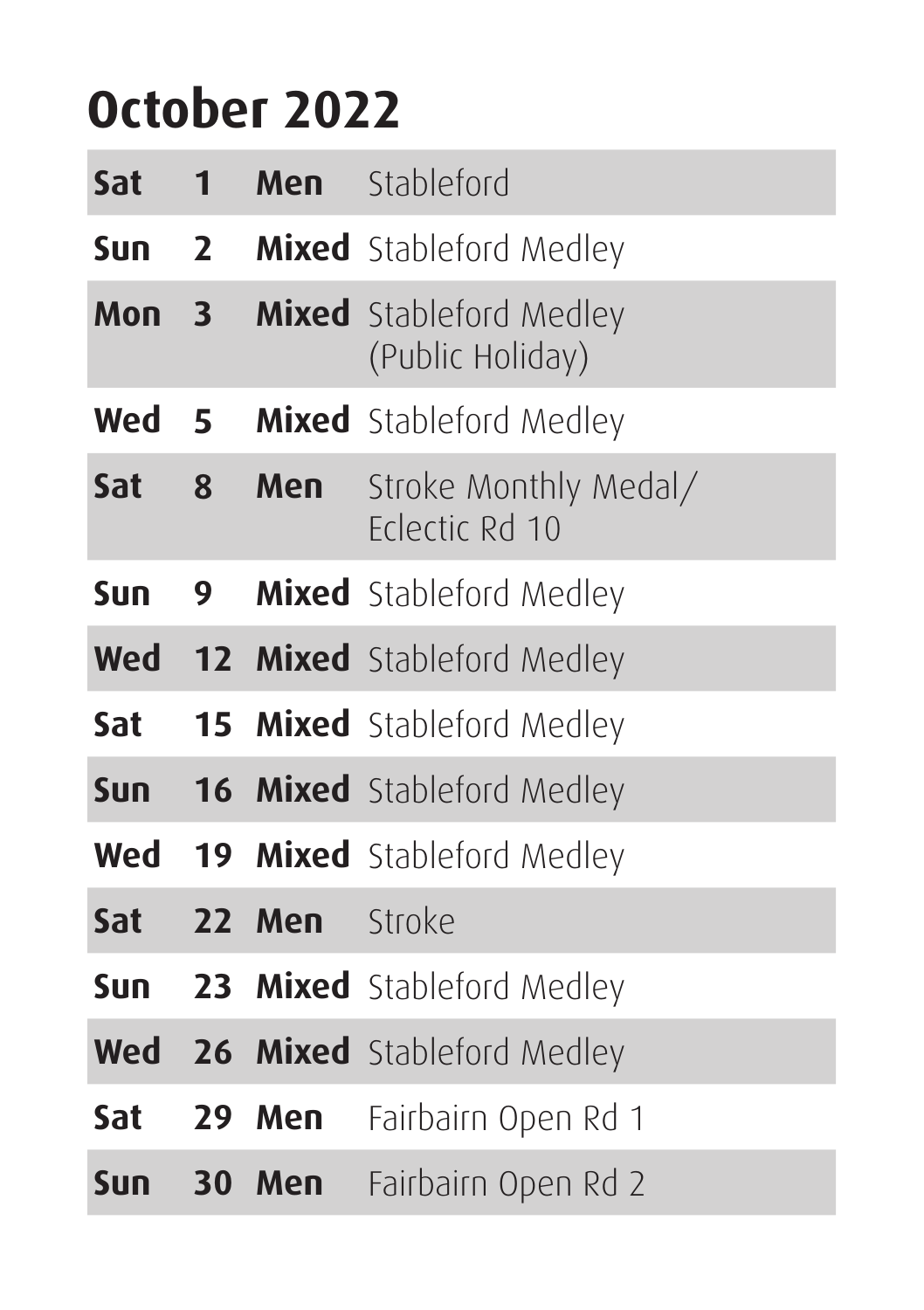#### **October 2022**

| Sat        | $\mathbf{1}$   | Men    | Stableford                                         |
|------------|----------------|--------|----------------------------------------------------|
| <b>Sun</b> | $\overline{2}$ |        | <b>Mixed</b> Stableford Medley                     |
| Mon        | 3              |        | <b>Mixed</b> Stableford Medley<br>(Public Holiday) |
| Wed        | 5              |        | Mixed Stableford Medley                            |
| Sat        | 8              | Men    | Stroke Monthly Medal/<br>Felectic Rd 10            |
| Sun        | 9              |        | <b>Mixed</b> Stableford Medley                     |
|            |                |        | <b>Wed 12 Mixed</b> Stableford Medley              |
| Sat        |                |        | <b>15 Mixed</b> Stableford Medley                  |
| <b>Sun</b> |                |        | <b>16 Mixed</b> Stableford Medley                  |
| Wed        |                |        | <b>19 Mixed</b> Stableford Medley                  |
| Sat        |                | 22 Men | Stroke                                             |
| <b>Sun</b> |                |        | <b>23 Mixed</b> Stableford Medley                  |
|            |                |        | <b>Wed 26 Mixed</b> Stableford Medley              |
| Sat        | 29             | Men    | Fairbairn Open Rd 1                                |
| <b>Sun</b> |                | 30 Men | Fairbairn Open Rd 2                                |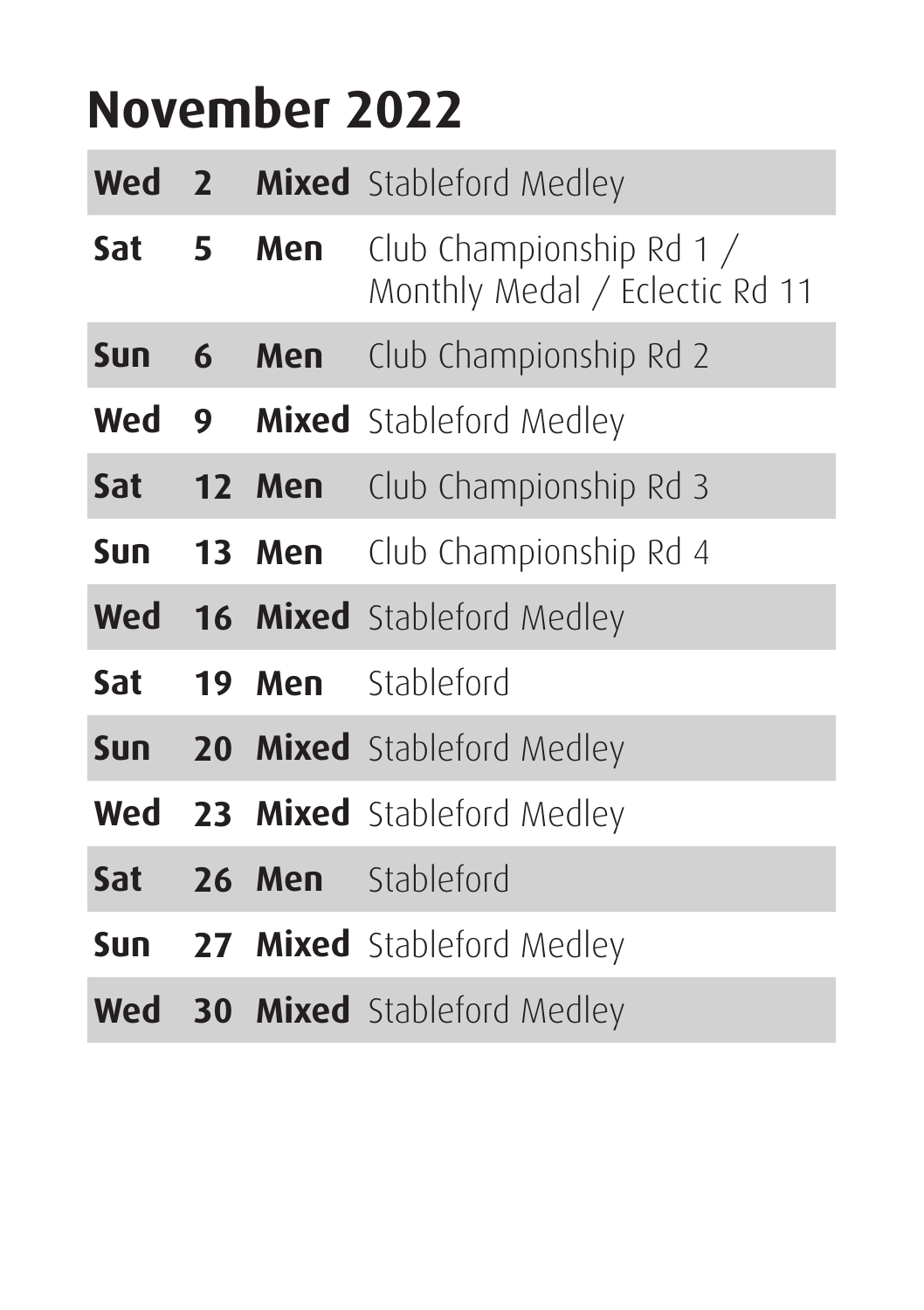#### **November 2022**

| Wed 2            |   |            | <b>Mixed</b> Stableford Medley                             |
|------------------|---|------------|------------------------------------------------------------|
| Sat <sub>5</sub> |   | Men        | Club Championship Rd 1 /<br>Monthly Medal / Eclectic Rd 11 |
| <b>Sun</b>       | 6 | Men        | Club Championship Rd 2                                     |
| Wed              |   |            | 9 Mixed Stableford Medley                                  |
| Sat 12 Men       |   |            | Club Championship Rd 3                                     |
|                  |   | Sun 13 Men | Club Championship Rd 4                                     |
|                  |   |            | <b>Wed</b> 16 Mixed Stableford Medley                      |
| Sat              |   | 19 Men     | Stableford                                                 |
|                  |   |            | <b>Sun 20 Mixed</b> Stableford Medley                      |
|                  |   |            | <b>Wed 23 Mixed</b> Stableford Medley                      |
| Sat              |   |            | <b>26 Men</b> Stableford                                   |
|                  |   |            | <b>Sun 27 Mixed</b> Stableford Medley                      |
|                  |   |            | <b>Wed 30 Mixed</b> Stableford Medley                      |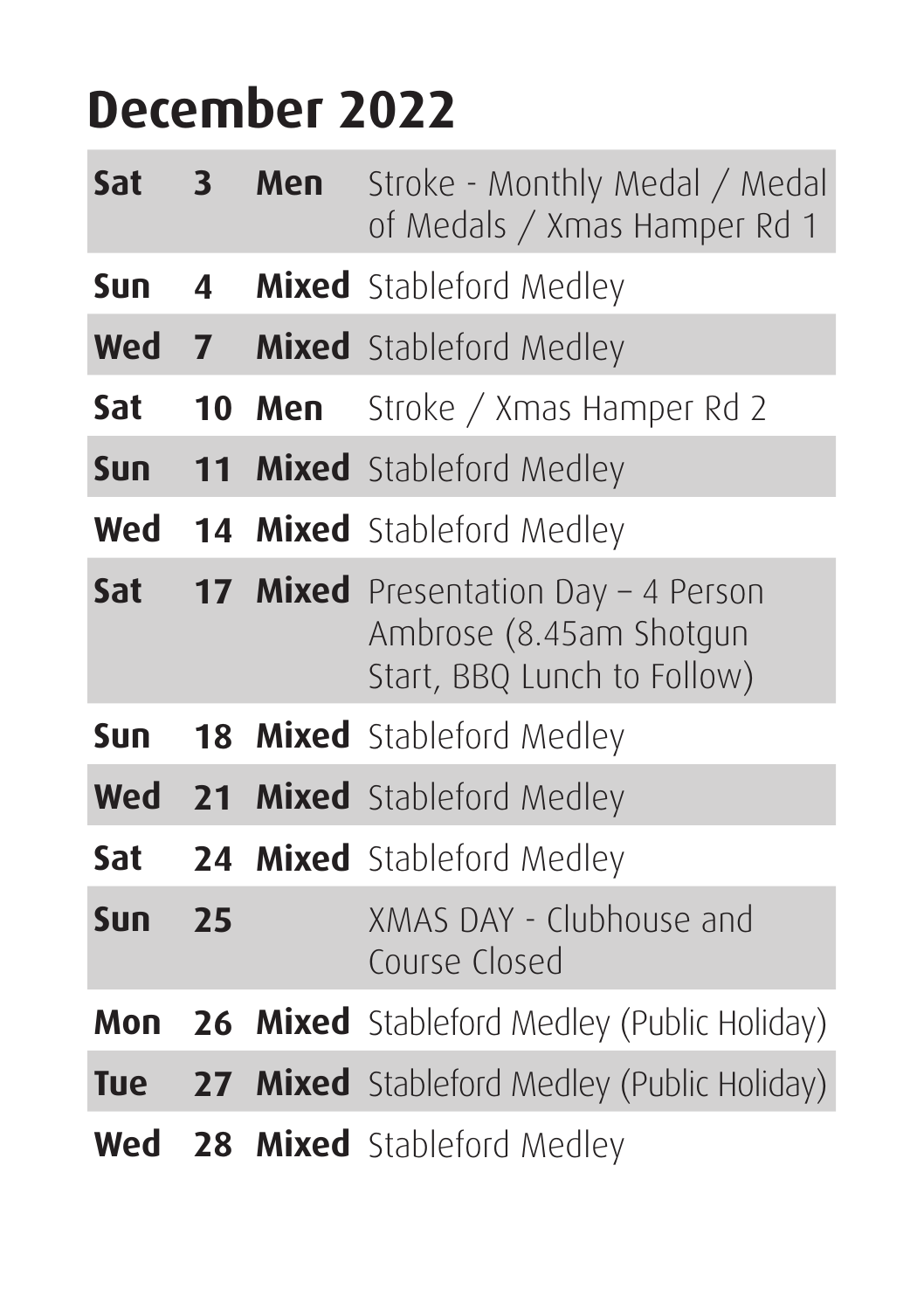#### **December 2022**

| Sat        | 3              | Men | Stroke - Monthly Medal / Medal<br>of Medals / Xmas Hamper Rd 1                                 |
|------------|----------------|-----|------------------------------------------------------------------------------------------------|
| Sun        | 4              |     | <b>Mixed</b> Stableford Medley                                                                 |
| Wed        | $\overline{7}$ |     | <b>Mixed</b> Stableford Medley                                                                 |
| Sat        | 10             | Men | Stroke / Xmas Hamper Rd 2                                                                      |
| <b>Sun</b> |                |     | 11 Mixed Stableford Medley                                                                     |
| Wed        |                |     | 14 Mixed Stableford Medley                                                                     |
| Sat        |                |     | 17 Mixed Presentation Day - 4 Person<br>Ambrose (8.45am Shotgun<br>Start, BBQ Lunch to Follow) |
| Sun        | 18             |     | <b>Mixed</b> Stableford Medley                                                                 |
|            |                |     | <b>Wed 21 Mixed</b> Stableford Medley                                                          |
| Sat        |                |     | 24 Mixed Stableford Medley                                                                     |
| Sun        | 25             |     | XMAS DAY - Clubhouse and<br>Course Closed                                                      |
| Mon        |                |     | <b>26 Mixed</b> Stableford Medley (Public Holiday)                                             |
| <b>Tue</b> |                |     | <b>27 Mixed</b> Stableford Medley (Public Holiday)                                             |
| Wed        |                |     | 28 Mixed Stableford Medley                                                                     |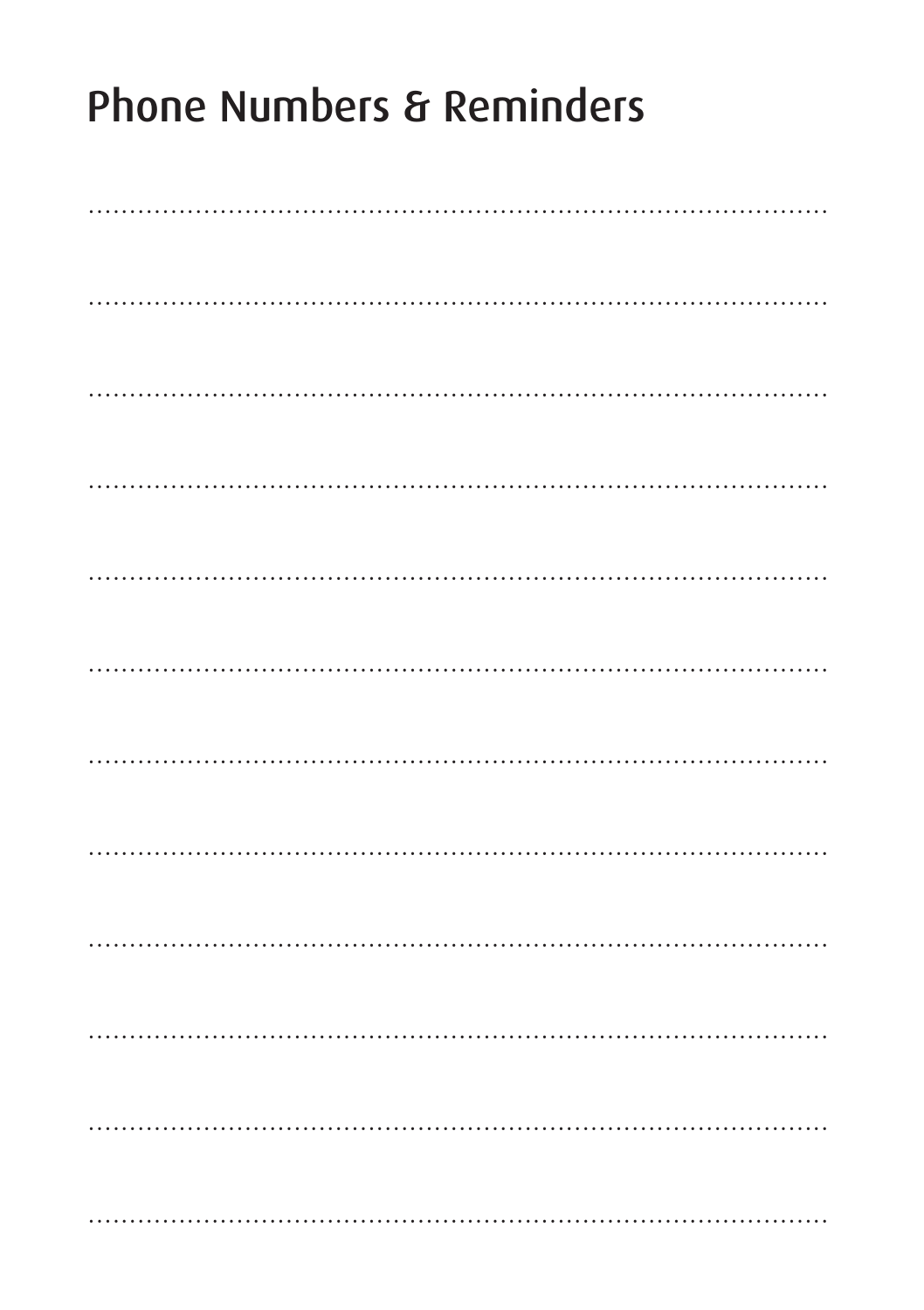# **Phone Numbers & Reminders**